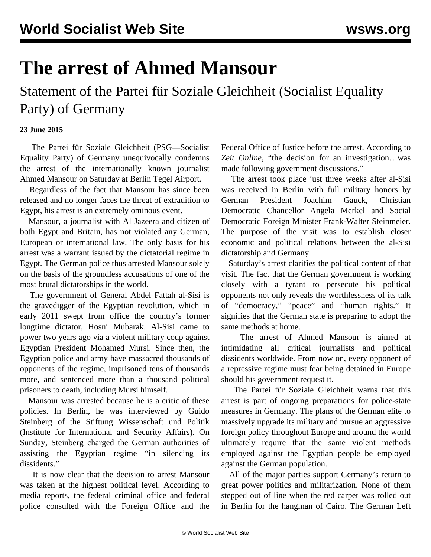## **The arrest of Ahmed Mansour**

Statement of the Partei für Soziale Gleichheit (Socialist Equality Party) of Germany

## **23 June 2015**

 The Partei für Soziale Gleichheit (PSG—Socialist Equality Party) of Germany unequivocally condemns the arrest of the internationally known journalist Ahmed Mansour on Saturday at Berlin Tegel Airport.

 Regardless of the fact that Mansour has since been released and no longer faces the threat of extradition to Egypt, his arrest is an extremely ominous event.

 Mansour, a journalist with Al Jazeera and citizen of both Egypt and Britain, has not violated any German, European or international law. The only basis for his arrest was a warrant issued by the dictatorial regime in Egypt. The German police thus arrested Mansour solely on the basis of the groundless accusations of one of the most brutal dictatorships in the world.

 The government of General Abdel Fattah al-Sisi is the gravedigger of the Egyptian revolution, which in early 2011 swept from office the country's former longtime dictator, Hosni Mubarak. Al-Sisi came to power two years ago via a violent military coup against Egyptian President Mohamed Mursi. Since then, the Egyptian police and army have massacred thousands of opponents of the regime, imprisoned tens of thousands more, and sentenced more than a thousand political prisoners to death, including Mursi himself.

 Mansour was arrested because he is a critic of these policies. In Berlin, he was interviewed by Guido Steinberg of the Stiftung Wissenschaft und Politik (Institute for International and Security Affairs). On Sunday, Steinberg charged the German authorities of assisting the Egyptian regime "in silencing its dissidents."

 It is now clear that the decision to arrest Mansour was taken at the highest political level. According to media reports, the federal criminal office and federal police consulted with the Foreign Office and the Federal Office of Justice before the arrest. According to *Zeit Online*, "the decision for an investigation…was made following government discussions."

 The arrest took place just three weeks after al-Sisi was received in Berlin with full military honors by German President Joachim Gauck, Christian Democratic Chancellor Angela Merkel and Social Democratic Foreign Minister Frank-Walter Steinmeier. The purpose of the visit was to establish closer economic and political relations between the al-Sisi dictatorship and Germany.

 Saturday's arrest clarifies the political content of that visit. The fact that the German government is working closely with a tyrant to persecute his political opponents not only reveals the worthlessness of its talk of "democracy," "peace" and "human rights." It signifies that the German state is preparing to adopt the same methods at home.

 The arrest of Ahmed Mansour is aimed at intimidating all critical journalists and political dissidents worldwide. From now on, every opponent of a repressive regime must fear being detained in Europe should his government request it.

 The Partei für Soziale Gleichheit warns that this arrest is part of ongoing preparations for police-state measures in Germany. The plans of the German elite to massively upgrade its military and pursue an aggressive foreign policy throughout Europe and around the world ultimately require that the same violent methods employed against the Egyptian people be employed against the German population.

 All of the major parties support Germany's return to great power politics and militarization. None of them stepped out of line when the red carpet was rolled out in Berlin for the hangman of Cairo. The German Left